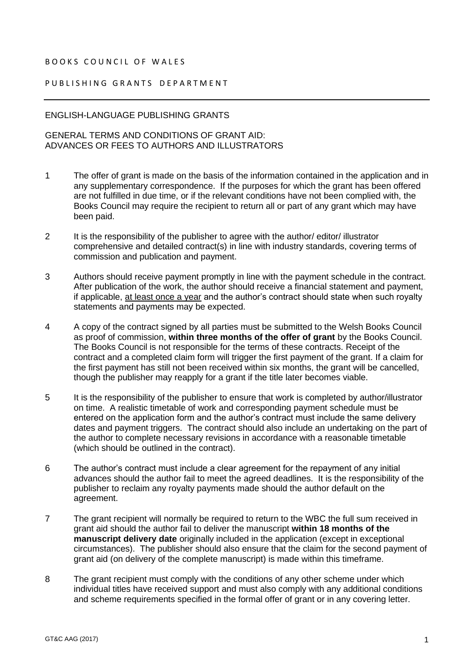## BOOKS COUNCIL OF WALES

## PUBLISHING GRANTS DEPARTMENT

## ENGLISH-LANGUAGE PUBLISHING GRANTS

## GENERAL TERMS AND CONDITIONS OF GRANT AID: ADVANCES OR FEES TO AUTHORS AND ILLUSTRATORS

- 1 The offer of grant is made on the basis of the information contained in the application and in any supplementary correspondence. If the purposes for which the grant has been offered are not fulfilled in due time, or if the relevant conditions have not been complied with, the Books Council may require the recipient to return all or part of any grant which may have been paid.
- 2 It is the responsibility of the publisher to agree with the author/ editor/ illustrator comprehensive and detailed contract(s) in line with industry standards, covering terms of commission and publication and payment.
- 3 Authors should receive payment promptly in line with the payment schedule in the contract. After publication of the work, the author should receive a financial statement and payment, if applicable, at least once a year and the author's contract should state when such royalty statements and payments may be expected.
- 4 A copy of the contract signed by all parties must be submitted to the Welsh Books Council as proof of commission, **within three months of the offer of grant** by the Books Council. The Books Council is not responsible for the terms of these contracts. Receipt of the contract and a completed claim form will trigger the first payment of the grant. If a claim for the first payment has still not been received within six months, the grant will be cancelled, though the publisher may reapply for a grant if the title later becomes viable.
- 5 It is the responsibility of the publisher to ensure that work is completed by author/illustrator on time. A realistic timetable of work and corresponding payment schedule must be entered on the application form and the author's contract must include the same delivery dates and payment triggers. The contract should also include an undertaking on the part of the author to complete necessary revisions in accordance with a reasonable timetable (which should be outlined in the contract).
- 6 The author's contract must include a clear agreement for the repayment of any initial advances should the author fail to meet the agreed deadlines. It is the responsibility of the publisher to reclaim any royalty payments made should the author default on the agreement.
- 7 The grant recipient will normally be required to return to the WBC the full sum received in grant aid should the author fail to deliver the manuscript **within 18 months of the manuscript delivery date** originally included in the application (except in exceptional circumstances). The publisher should also ensure that the claim for the second payment of grant aid (on delivery of the complete manuscript) is made within this timeframe.
- 8 The grant recipient must comply with the conditions of any other scheme under which individual titles have received support and must also comply with any additional conditions and scheme requirements specified in the formal offer of grant or in any covering letter.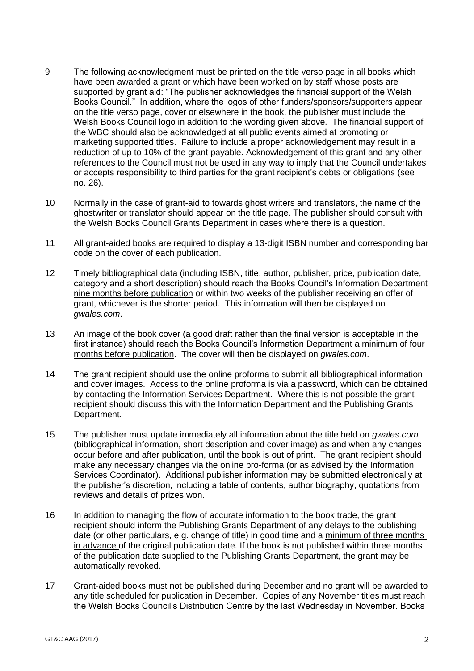- 9 The following acknowledgment must be printed on the title verso page in all books which have been awarded a grant or which have been worked on by staff whose posts are supported by grant aid: "The publisher acknowledges the financial support of the Welsh Books Council." In addition, where the logos of other funders/sponsors/supporters appear on the title verso page, cover or elsewhere in the book, the publisher must include the Welsh Books Council logo in addition to the wording given above. The financial support of the WBC should also be acknowledged at all public events aimed at promoting or marketing supported titles. Failure to include a proper acknowledgement may result in a reduction of up to 10% of the grant payable. Acknowledgement of this grant and any other references to the Council must not be used in any way to imply that the Council undertakes or accepts responsibility to third parties for the grant recipient's debts or obligations (see no. 26).
- 10 Normally in the case of grant-aid to towards ghost writers and translators, the name of the ghostwriter or translator should appear on the title page. The publisher should consult with the Welsh Books Council Grants Department in cases where there is a question.
- 11 All grant-aided books are required to display a 13-digit ISBN number and corresponding bar code on the cover of each publication.
- 12 Timely bibliographical data (including ISBN, title, author, publisher, price, publication date, category and a short description) should reach the Books Council's Information Department nine months before publication or within two weeks of the publisher receiving an offer of grant, whichever is the shorter period. This information will then be displayed on *gwales.com*.
- 13 An image of the book cover (a good draft rather than the final version is acceptable in the first instance) should reach the Books Council's Information Department a minimum of four months before publication. The cover will then be displayed on *gwales.com*.
- 14 The grant recipient should use the online proforma to submit all bibliographical information and cover images. Access to the online proforma is via a password, which can be obtained by contacting the Information Services Department. Where this is not possible the grant recipient should discuss this with the Information Department and the Publishing Grants Department.
- 15 The publisher must update immediately all information about the title held on *gwales.com* (bibliographical information, short description and cover image) as and when any changes occur before and after publication, until the book is out of print. The grant recipient should make any necessary changes via the online pro-forma (or as advised by the Information Services Coordinator). Additional publisher information may be submitted electronically at the publisher's discretion, including a table of contents, author biography, quotations from reviews and details of prizes won.
- 16 In addition to managing the flow of accurate information to the book trade, the grant recipient should inform the Publishing Grants Department of any delays to the publishing date (or other particulars, e.g. change of title) in good time and a minimum of three months in advance of the original publication date. If the book is not published within three months of the publication date supplied to the Publishing Grants Department, the grant may be automatically revoked.
- 17 Grant-aided books must not be published during December and no grant will be awarded to any title scheduled for publication in December. Copies of any November titles must reach the Welsh Books Council's Distribution Centre by the last Wednesday in November. Books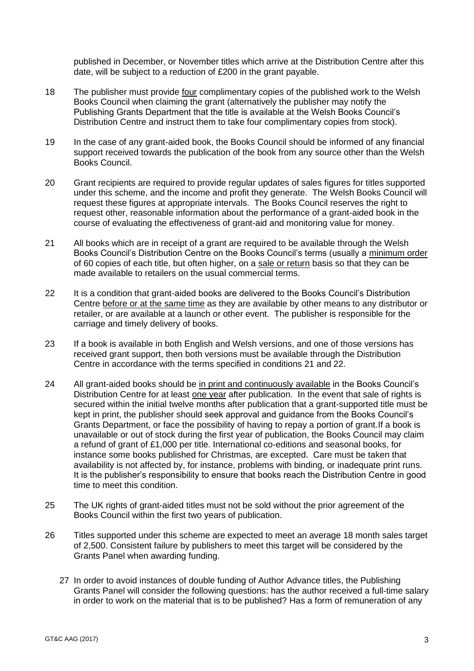published in December, or November titles which arrive at the Distribution Centre after this date, will be subject to a reduction of £200 in the grant payable.

- 18 The publisher must provide four complimentary copies of the published work to the Welsh Books Council when claiming the grant (alternatively the publisher may notify the Publishing Grants Department that the title is available at the Welsh Books Council's Distribution Centre and instruct them to take four complimentary copies from stock).
- 19 In the case of any grant-aided book, the Books Council should be informed of any financial support received towards the publication of the book from any source other than the Welsh Books Council.
- 20 Grant recipients are required to provide regular updates of sales figures for titles supported under this scheme, and the income and profit they generate. The Welsh Books Council will request these figures at appropriate intervals. The Books Council reserves the right to request other, reasonable information about the performance of a grant-aided book in the course of evaluating the effectiveness of grant-aid and monitoring value for money.
- 21 All books which are in receipt of a grant are required to be available through the Welsh Books Council's Distribution Centre on the Books Council's terms (usually a minimum order of 60 copies of each title, but often higher, on a sale or return basis so that they can be made available to retailers on the usual commercial terms.
- 22 It is a condition that grant-aided books are delivered to the Books Council's Distribution Centre before or at the same time as they are available by other means to any distributor or retailer, or are available at a launch or other event. The publisher is responsible for the carriage and timely delivery of books.
- 23 If a book is available in both English and Welsh versions, and one of those versions has received grant support, then both versions must be available through the Distribution Centre in accordance with the terms specified in conditions 21 and 22.
- 24 All grant-aided books should be in print and continuously available in the Books Council's Distribution Centre for at least one year after publication. In the event that sale of rights is secured within the initial twelve months after publication that a grant-supported title must be kept in print, the publisher should seek approval and guidance from the Books Council's Grants Department, or face the possibility of having to repay a portion of grant.If a book is unavailable or out of stock during the first year of publication, the Books Council may claim a refund of grant of £1,000 per title. International co-editions and seasonal books, for instance some books published for Christmas, are excepted. Care must be taken that availability is not affected by, for instance, problems with binding, or inadequate print runs. It is the publisher's responsibility to ensure that books reach the Distribution Centre in good time to meet this condition.
- 25 The UK rights of grant-aided titles must not be sold without the prior agreement of the Books Council within the first two years of publication.
- 26 Titles supported under this scheme are expected to meet an average 18 month sales target of 2,500. Consistent failure by publishers to meet this target will be considered by the Grants Panel when awarding funding.
	- 27 In order to avoid instances of double funding of Author Advance titles, the Publishing Grants Panel will consider the following questions: has the author received a full-time salary in order to work on the material that is to be published? Has a form of remuneration of any